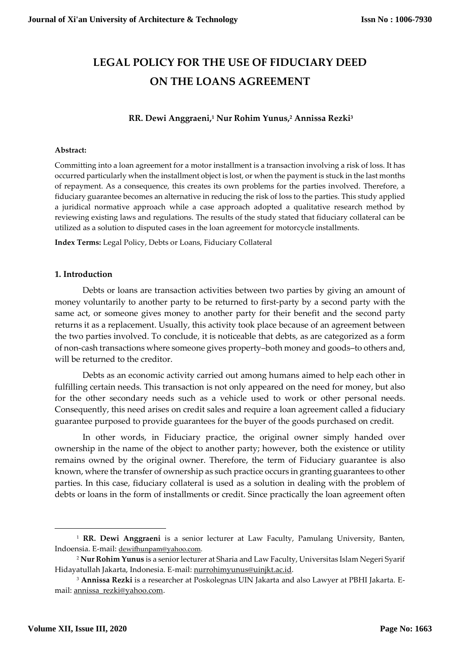# **LEGAL POLICY FOR THE USE OF FIDUCIARY DEED ON THE LOANS AGREEMENT**

# **RR. Dewi Anggraeni,<sup>1</sup> Nur Rohim Yunus,<sup>2</sup> Annissa Rezki<sup>3</sup>**

#### **Abstract:**

Committing into a loan agreement for a motor installment is a transaction involving a risk of loss. It has occurred particularly when the installment object is lost, or when the payment is stuck in the last months of repayment. As a consequence, this creates its own problems for the parties involved. Therefore, a fiduciary guarantee becomes an alternative in reducing the risk of loss to the parties. This study applied a juridical normative approach while a case approach adopted a qualitative research method by reviewing existing laws and regulations. The results of the study stated that fiduciary collateral can be utilized as a solution to disputed cases in the loan agreement for motorcycle installments.

**Index Terms:** Legal Policy, Debts or Loans, Fiduciary Collateral

#### **1. Introduction**

Debts or loans are transaction activities between two parties by giving an amount of money voluntarily to another party to be returned to first-party by a second party with the same act, or someone gives money to another party for their benefit and the second party returns it as a replacement. Usually, this activity took place because of an agreement between the two parties involved. To conclude, it is noticeable that debts, as are categorized as a form of non-cash transactions where someone gives property–both money and goods–to others and, will be returned to the creditor.

Debts as an economic activity carried out among humans aimed to help each other in fulfilling certain needs. This transaction is not only appeared on the need for money, but also for the other secondary needs such as a vehicle used to work or other personal needs. Consequently, this need arises on credit sales and require a loan agreement called a fiduciary guarantee purposed to provide guarantees for the buyer of the goods purchased on credit.

In other words, in Fiduciary practice, the original owner simply handed over ownership in the name of the object to another party; however, both the existence or utility remains owned by the original owner. Therefore, the term of Fiduciary guarantee is also known, where the transfer of ownership as such practice occurs in granting guarantees to other parties. In this case, fiduciary collateral is used as a solution in dealing with the problem of debts or loans in the form of installments or credit. Since practically the loan agreement often

 $\overline{a}$ 

<sup>1</sup> **RR. Dewi Anggraeni** is a senior lecturer at Law Faculty, Pamulang University, Banten, Indoensia. E-mail: [dewifhunpam@yahoo.com.](mailto:dewifhunpam@yahoo.com)

<sup>2</sup> **Nur Rohim Yunus** is a senior lecturer at Sharia and Law Faculty, Universitas Islam Negeri Syarif Hidayatullah Jakarta, Indonesia. E-mail: [nurrohimyunus@uinjkt.ac.id.](mailto:nurrohimyunus@uinjkt.ac.id)

<sup>3</sup> **Annissa Rezki** is a researcher at Poskolegnas UIN Jakarta and also Lawyer at PBHI Jakarta. Email[: annissa\\_rezki@yahoo.com.](mailto:annissa_rezki@yahoo.com)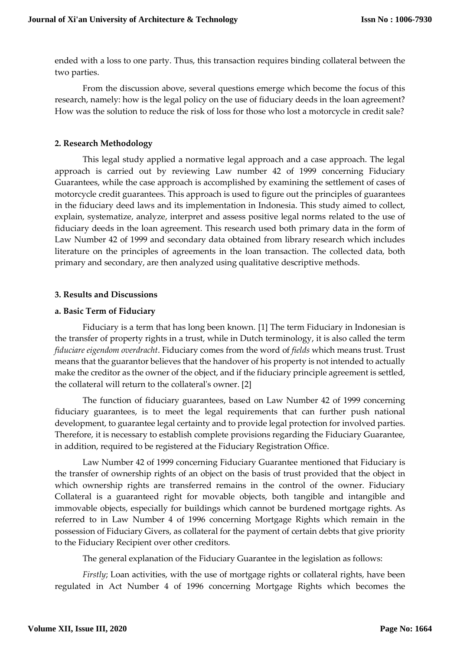ended with a loss to one party. Thus, this transaction requires binding collateral between the two parties.

From the discussion above, several questions emerge which become the focus of this research, namely: how is the legal policy on the use of fiduciary deeds in the loan agreement? How was the solution to reduce the risk of loss for those who lost a motorcycle in credit sale?

# **2. Research Methodology**

This legal study applied a normative legal approach and a case approach. The legal approach is carried out by reviewing Law number 42 of 1999 concerning Fiduciary Guarantees, while the case approach is accomplished by examining the settlement of cases of motorcycle credit guarantees. This approach is used to figure out the principles of guarantees in the fiduciary deed laws and its implementation in Indonesia. This study aimed to collect, explain, systematize, analyze, interpret and assess positive legal norms related to the use of fiduciary deeds in the loan agreement. This research used both primary data in the form of Law Number 42 of 1999 and secondary data obtained from library research which includes literature on the principles of agreements in the loan transaction. The collected data, both primary and secondary, are then analyzed using qualitative descriptive methods.

# **3. Results and Discussions**

# **a. Basic Term of Fiduciary**

Fiduciary is a term that has long been known. [1] The term Fiduciary in Indonesian is the transfer of property rights in a trust, while in Dutch terminology, it is also called the term *fiduciare eigendom overdracht*. Fiduciary comes from the word of *fields* which means trust. Trust means that the guarantor believes that the handover of his property is not intended to actually make the creditor as the owner of the object, and if the fiduciary principle agreement is settled, the collateral will return to the collateral's owner. [2]

The function of fiduciary guarantees, based on Law Number 42 of 1999 concerning fiduciary guarantees, is to meet the legal requirements that can further push national development, to guarantee legal certainty and to provide legal protection for involved parties. Therefore, it is necessary to establish complete provisions regarding the Fiduciary Guarantee, in addition, required to be registered at the Fiduciary Registration Office.

Law Number 42 of 1999 concerning Fiduciary Guarantee mentioned that Fiduciary is the transfer of ownership rights of an object on the basis of trust provided that the object in which ownership rights are transferred remains in the control of the owner. Fiduciary Collateral is a guaranteed right for movable objects, both tangible and intangible and immovable objects, especially for buildings which cannot be burdened mortgage rights. As referred to in Law Number 4 of 1996 concerning Mortgage Rights which remain in the possession of Fiduciary Givers, as collateral for the payment of certain debts that give priority to the Fiduciary Recipient over other creditors.

The general explanation of the Fiduciary Guarantee in the legislation as follows:

*Firstly*; Loan activities, with the use of mortgage rights or collateral rights, have been regulated in Act Number 4 of 1996 concerning Mortgage Rights which becomes the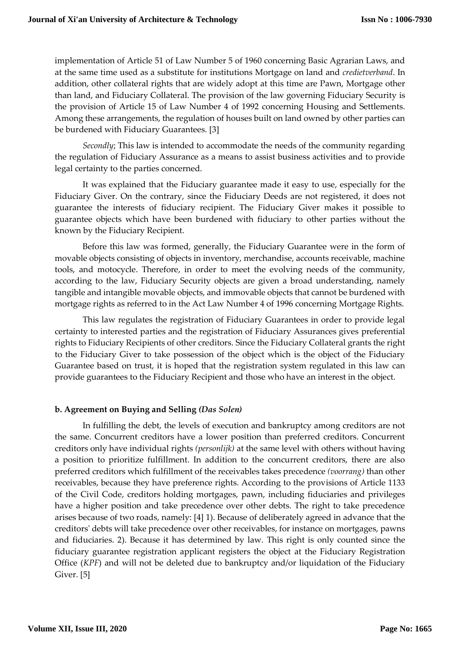implementation of Article 51 of Law Number 5 of 1960 concerning Basic Agrarian Laws, and at the same time used as a substitute for institutions Mortgage on land and *credietverband*. In addition, other collateral rights that are widely adopt at this time are Pawn, Mortgage other than land, and Fiduciary Collateral. The provision of the law governing Fiduciary Security is the provision of Article 15 of Law Number 4 of 1992 concerning Housing and Settlements. Among these arrangements, the regulation of houses built on land owned by other parties can be burdened with Fiduciary Guarantees. [3]

*Secondly*; This law is intended to accommodate the needs of the community regarding the regulation of Fiduciary Assurance as a means to assist business activities and to provide legal certainty to the parties concerned.

It was explained that the Fiduciary guarantee made it easy to use, especially for the Fiduciary Giver. On the contrary, since the Fiduciary Deeds are not registered, it does not guarantee the interests of fiduciary recipient. The Fiduciary Giver makes it possible to guarantee objects which have been burdened with fiduciary to other parties without the known by the Fiduciary Recipient.

Before this law was formed, generally, the Fiduciary Guarantee were in the form of movable objects consisting of objects in inventory, merchandise, accounts receivable, machine tools, and motocycle. Therefore, in order to meet the evolving needs of the community, according to the law, Fiduciary Security objects are given a broad understanding, namely tangible and intangible movable objects, and immovable objects that cannot be burdened with mortgage rights as referred to in the Act Law Number 4 of 1996 concerning Mortgage Rights.

This law regulates the registration of Fiduciary Guarantees in order to provide legal certainty to interested parties and the registration of Fiduciary Assurances gives preferential rights to Fiduciary Recipients of other creditors. Since the Fiduciary Collateral grants the right to the Fiduciary Giver to take possession of the object which is the object of the Fiduciary Guarantee based on trust, it is hoped that the registration system regulated in this law can provide guarantees to the Fiduciary Recipient and those who have an interest in the object.

# **b. Agreement on Buying and Selling** *(Das Solen)*

In fulfilling the debt, the levels of execution and bankruptcy among creditors are not the same. Concurrent creditors have a lower position than preferred creditors. Concurrent creditors only have individual rights *(personlijk)* at the same level with others without having a position to prioritize fulfillment. In addition to the concurrent creditors, there are also preferred creditors which fulfillment of the receivables takes precedence *(voorrang)* than other receivables, because they have preference rights. According to the provisions of Article 1133 of the Civil Code, creditors holding mortgages, pawn, including fiduciaries and privileges have a higher position and take precedence over other debts. The right to take precedence arises because of two roads, namely: [4] 1). Because of deliberately agreed in advance that the creditors' debts will take precedence over other receivables, for instance on mortgages, pawns and fiduciaries. 2). Because it has determined by law. This right is only counted since the fiduciary guarantee registration applicant registers the object at the Fiduciary Registration Office (*KPF*) and will not be deleted due to bankruptcy and/or liquidation of the Fiduciary Giver. [5]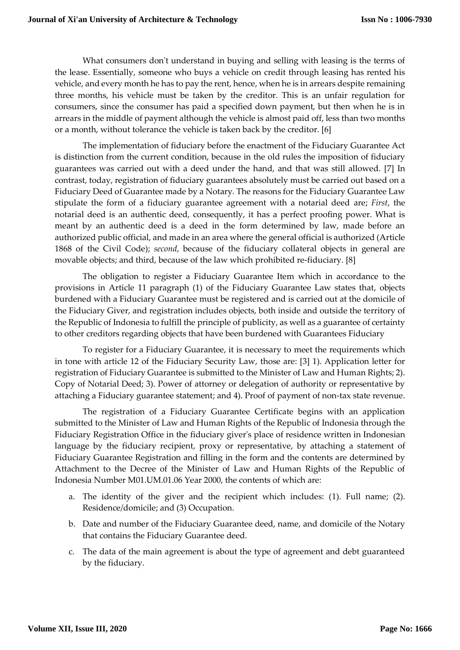What consumers don't understand in buying and selling with leasing is the terms of the lease. Essentially, someone who buys a vehicle on credit through leasing has rented his vehicle, and every month he has to pay the rent, hence, when he is in arrears despite remaining three months, his vehicle must be taken by the creditor. This is an unfair regulation for consumers, since the consumer has paid a specified down payment, but then when he is in arrears in the middle of payment although the vehicle is almost paid off, less than two months or a month, without tolerance the vehicle is taken back by the creditor. [6]

The implementation of fiduciary before the enactment of the Fiduciary Guarantee Act is distinction from the current condition, because in the old rules the imposition of fiduciary guarantees was carried out with a deed under the hand, and that was still allowed. [7] In contrast, today, registration of fiduciary guarantees absolutely must be carried out based on a Fiduciary Deed of Guarantee made by a Notary. The reasons for the Fiduciary Guarantee Law stipulate the form of a fiduciary guarantee agreement with a notarial deed are; *First*, the notarial deed is an authentic deed, consequently, it has a perfect proofing power. What is meant by an authentic deed is a deed in the form determined by law, made before an authorized public official, and made in an area where the general official is authorized (Article 1868 of the Civil Code); *second*, because of the fiduciary collateral objects in general are movable objects; and third, because of the law which prohibited re-fiduciary. [8]

The obligation to register a Fiduciary Guarantee Item which in accordance to the provisions in Article 11 paragraph (1) of the Fiduciary Guarantee Law states that, objects burdened with a Fiduciary Guarantee must be registered and is carried out at the domicile of the Fiduciary Giver, and registration includes objects, both inside and outside the territory of the Republic of Indonesia to fulfill the principle of publicity, as well as a guarantee of certainty to other creditors regarding objects that have been burdened with Guarantees Fiduciary

To register for a Fiduciary Guarantee, it is necessary to meet the requirements which in tone with article 12 of the Fiduciary Security Law, those are: [3] 1). Application letter for registration of Fiduciary Guarantee is submitted to the Minister of Law and Human Rights; 2). Copy of Notarial Deed; 3). Power of attorney or delegation of authority or representative by attaching a Fiduciary guarantee statement; and 4). Proof of payment of non-tax state revenue.

The registration of a Fiduciary Guarantee Certificate begins with an application submitted to the Minister of Law and Human Rights of the Republic of Indonesia through the Fiduciary Registration Office in the fiduciary giver's place of residence written in Indonesian language by the fiduciary recipient, proxy or representative, by attaching a statement of Fiduciary Guarantee Registration and filling in the form and the contents are determined by Attachment to the Decree of the Minister of Law and Human Rights of the Republic of Indonesia Number M01.UM.01.06 Year 2000, the contents of which are:

- a. The identity of the giver and the recipient which includes: (1). Full name; (2). Residence/domicile; and (3) Occupation.
- b. Date and number of the Fiduciary Guarantee deed, name, and domicile of the Notary that contains the Fiduciary Guarantee deed.
- c. The data of the main agreement is about the type of agreement and debt guaranteed by the fiduciary.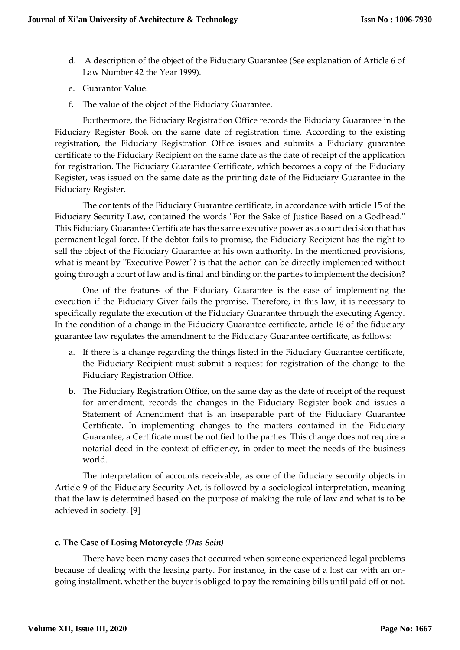- d. A description of the object of the Fiduciary Guarantee (See explanation of Article 6 of Law Number 42 the Year 1999).
- e. Guarantor Value.
- f. The value of the object of the Fiduciary Guarantee.

Furthermore, the Fiduciary Registration Office records the Fiduciary Guarantee in the Fiduciary Register Book on the same date of registration time. According to the existing registration, the Fiduciary Registration Office issues and submits a Fiduciary guarantee certificate to the Fiduciary Recipient on the same date as the date of receipt of the application for registration. The Fiduciary Guarantee Certificate, which becomes a copy of the Fiduciary Register, was issued on the same date as the printing date of the Fiduciary Guarantee in the Fiduciary Register.

The contents of the Fiduciary Guarantee certificate, in accordance with article 15 of the Fiduciary Security Law, contained the words "For the Sake of Justice Based on a Godhead." This Fiduciary Guarantee Certificate has the same executive power as a court decision that has permanent legal force. If the debtor fails to promise, the Fiduciary Recipient has the right to sell the object of the Fiduciary Guarantee at his own authority. In the mentioned provisions, what is meant by "Executive Power"? is that the action can be directly implemented without going through a court of law and is final and binding on the parties to implement the decision?

One of the features of the Fiduciary Guarantee is the ease of implementing the execution if the Fiduciary Giver fails the promise. Therefore, in this law, it is necessary to specifically regulate the execution of the Fiduciary Guarantee through the executing Agency. In the condition of a change in the Fiduciary Guarantee certificate, article 16 of the fiduciary guarantee law regulates the amendment to the Fiduciary Guarantee certificate, as follows:

- a. If there is a change regarding the things listed in the Fiduciary Guarantee certificate, the Fiduciary Recipient must submit a request for registration of the change to the Fiduciary Registration Office.
- b. The Fiduciary Registration Office, on the same day as the date of receipt of the request for amendment, records the changes in the Fiduciary Register book and issues a Statement of Amendment that is an inseparable part of the Fiduciary Guarantee Certificate. In implementing changes to the matters contained in the Fiduciary Guarantee, a Certificate must be notified to the parties. This change does not require a notarial deed in the context of efficiency, in order to meet the needs of the business world.

The interpretation of accounts receivable, as one of the fiduciary security objects in Article 9 of the Fiduciary Security Act, is followed by a sociological interpretation, meaning that the law is determined based on the purpose of making the rule of law and what is to be achieved in society. [9]

# **c. The Case of Losing Motorcycle** *(Das Sein)*

There have been many cases that occurred when someone experienced legal problems because of dealing with the leasing party. For instance, in the case of a lost car with an ongoing installment, whether the buyer is obliged to pay the remaining bills until paid off or not.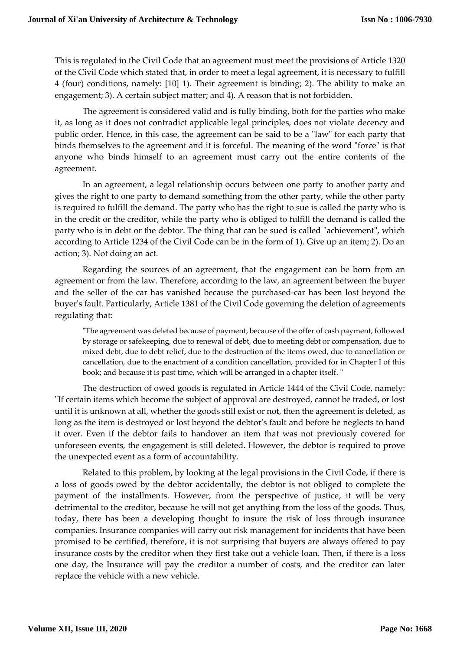This is regulated in the Civil Code that an agreement must meet the provisions of Article 1320 of the Civil Code which stated that, in order to meet a legal agreement, it is necessary to fulfill 4 (four) conditions, namely: [10] 1). Their agreement is binding; 2). The ability to make an engagement; 3). A certain subject matter; and 4). A reason that is not forbidden.

The agreement is considered valid and is fully binding, both for the parties who make it, as long as it does not contradict applicable legal principles, does not violate decency and public order. Hence, in this case, the agreement can be said to be a "law" for each party that binds themselves to the agreement and it is forceful. The meaning of the word "force" is that anyone who binds himself to an agreement must carry out the entire contents of the agreement.

In an agreement, a legal relationship occurs between one party to another party and gives the right to one party to demand something from the other party, while the other party is required to fulfill the demand. The party who has the right to sue is called the party who is in the credit or the creditor, while the party who is obliged to fulfill the demand is called the party who is in debt or the debtor. The thing that can be sued is called "achievement", which according to Article 1234 of the Civil Code can be in the form of 1). Give up an item; 2). Do an action; 3). Not doing an act.

Regarding the sources of an agreement, that the engagement can be born from an agreement or from the law. Therefore, according to the law, an agreement between the buyer and the seller of the car has vanished because the purchased-car has been lost beyond the buyer's fault. Particularly, Article 1381 of the Civil Code governing the deletion of agreements regulating that:

"The agreement was deleted because of payment, because of the offer of cash payment, followed by storage or safekeeping, due to renewal of debt, due to meeting debt or compensation, due to mixed debt, due to debt relief, due to the destruction of the items owed, due to cancellation or cancellation, due to the enactment of a condition cancellation, provided for in Chapter I of this book; and because it is past time, which will be arranged in a chapter itself. "

The destruction of owed goods is regulated in Article 1444 of the Civil Code, namely: "If certain items which become the subject of approval are destroyed, cannot be traded, or lost until it is unknown at all, whether the goods still exist or not, then the agreement is deleted, as long as the item is destroyed or lost beyond the debtor's fault and before he neglects to hand it over. Even if the debtor fails to handover an item that was not previously covered for unforeseen events, the engagement is still deleted. However, the debtor is required to prove the unexpected event as a form of accountability.

Related to this problem, by looking at the legal provisions in the Civil Code, if there is a loss of goods owed by the debtor accidentally, the debtor is not obliged to complete the payment of the installments. However, from the perspective of justice, it will be very detrimental to the creditor, because he will not get anything from the loss of the goods. Thus, today, there has been a developing thought to insure the risk of loss through insurance companies. Insurance companies will carry out risk management for incidents that have been promised to be certified, therefore, it is not surprising that buyers are always offered to pay insurance costs by the creditor when they first take out a vehicle loan. Then, if there is a loss one day, the Insurance will pay the creditor a number of costs, and the creditor can later replace the vehicle with a new vehicle.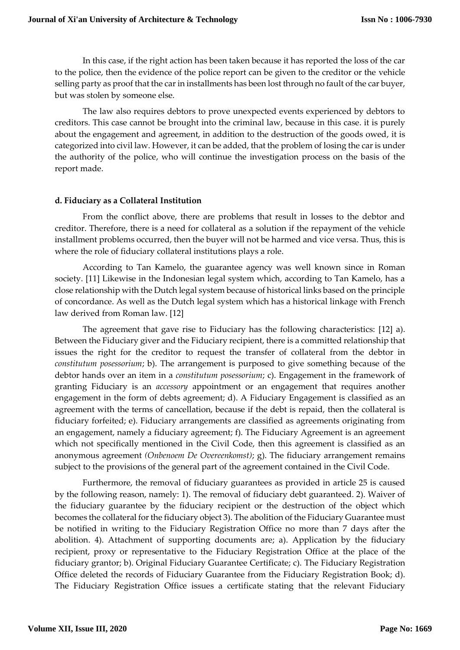In this case, if the right action has been taken because it has reported the loss of the car to the police, then the evidence of the police report can be given to the creditor or the vehicle selling party as proof that the car in installments has been lost through no fault of the car buyer, but was stolen by someone else.

The law also requires debtors to prove unexpected events experienced by debtors to creditors. This case cannot be brought into the criminal law, because in this case. it is purely about the engagement and agreement, in addition to the destruction of the goods owed, it is categorized into civil law. However, it can be added, that the problem of losing the car is under the authority of the police, who will continue the investigation process on the basis of the report made.

# **d. Fiduciary as a Collateral Institution**

From the conflict above, there are problems that result in losses to the debtor and creditor. Therefore, there is a need for collateral as a solution if the repayment of the vehicle installment problems occurred, then the buyer will not be harmed and vice versa. Thus, this is where the role of fiduciary collateral institutions plays a role.

According to Tan Kamelo, the guarantee agency was well known since in Roman society. [11] Likewise in the Indonesian legal system which, according to Tan Kamelo, has a close relationship with the Dutch legal system because of historical links based on the principle of concordance. As well as the Dutch legal system which has a historical linkage with French law derived from Roman law. [12]

The agreement that gave rise to Fiduciary has the following characteristics: [12] a). Between the Fiduciary giver and the Fiduciary recipient, there is a committed relationship that issues the right for the creditor to request the transfer of collateral from the debtor in *constitutum posessorium*; b). The arrangement is purposed to give something because of the debtor hands over an item in a *constitutum posessorium*; c). Engagement in the framework of granting Fiduciary is an *accessory* appointment or an engagement that requires another engagement in the form of debts agreement; d). A Fiduciary Engagement is classified as an agreement with the terms of cancellation, because if the debt is repaid, then the collateral is fiduciary forfeited; e). Fiduciary arrangements are classified as agreements originating from an engagement, namely a fiduciary agreement; f). The Fiduciary Agreement is an agreement which not specifically mentioned in the Civil Code, then this agreement is classified as an anonymous agreement *(Onbenoem De Overeenkomst)*; g). The fiduciary arrangement remains subject to the provisions of the general part of the agreement contained in the Civil Code.

Furthermore, the removal of fiduciary guarantees as provided in article 25 is caused by the following reason, namely: 1). The removal of fiduciary debt guaranteed. 2). Waiver of the fiduciary guarantee by the fiduciary recipient or the destruction of the object which becomes the collateral for the fiduciary object 3). The abolition of the Fiduciary Guarantee must be notified in writing to the Fiduciary Registration Office no more than 7 days after the abolition. 4). Attachment of supporting documents are; a). Application by the fiduciary recipient, proxy or representative to the Fiduciary Registration Office at the place of the fiduciary grantor; b). Original Fiduciary Guarantee Certificate; c). The Fiduciary Registration Office deleted the records of Fiduciary Guarantee from the Fiduciary Registration Book; d). The Fiduciary Registration Office issues a certificate stating that the relevant Fiduciary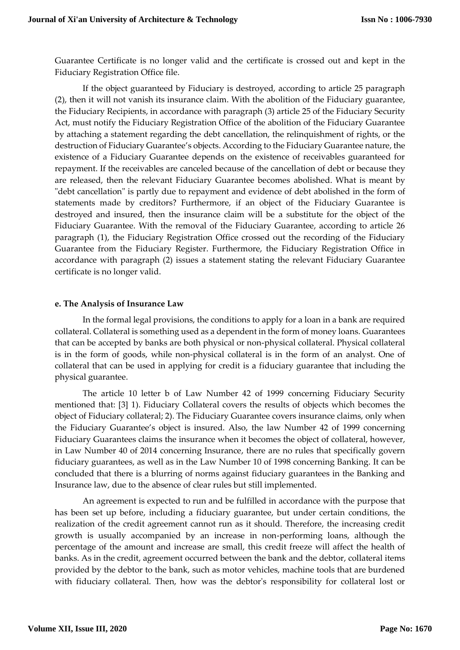Guarantee Certificate is no longer valid and the certificate is crossed out and kept in the Fiduciary Registration Office file.

If the object guaranteed by Fiduciary is destroyed, according to article 25 paragraph (2), then it will not vanish its insurance claim. With the abolition of the Fiduciary guarantee, the Fiduciary Recipients, in accordance with paragraph (3) article 25 of the Fiduciary Security Act, must notify the Fiduciary Registration Office of the abolition of the Fiduciary Guarantee by attaching a statement regarding the debt cancellation, the relinquishment of rights, or the destruction of Fiduciary Guarantee's objects. According to the Fiduciary Guarantee nature, the existence of a Fiduciary Guarantee depends on the existence of receivables guaranteed for repayment. If the receivables are canceled because of the cancellation of debt or because they are released, then the relevant Fiduciary Guarantee becomes abolished. What is meant by "debt cancellation" is partly due to repayment and evidence of debt abolished in the form of statements made by creditors? Furthermore, if an object of the Fiduciary Guarantee is destroyed and insured, then the insurance claim will be a substitute for the object of the Fiduciary Guarantee. With the removal of the Fiduciary Guarantee, according to article 26 paragraph (1), the Fiduciary Registration Office crossed out the recording of the Fiduciary Guarantee from the Fiduciary Register. Furthermore, the Fiduciary Registration Office in accordance with paragraph (2) issues a statement stating the relevant Fiduciary Guarantee certificate is no longer valid.

# **e. The Analysis of Insurance Law**

In the formal legal provisions, the conditions to apply for a loan in a bank are required collateral. Collateral is something used as a dependent in the form of money loans. Guarantees that can be accepted by banks are both physical or non-physical collateral. Physical collateral is in the form of goods, while non-physical collateral is in the form of an analyst. One of collateral that can be used in applying for credit is a fiduciary guarantee that including the physical guarantee.

The article 10 letter b of Law Number 42 of 1999 concerning Fiduciary Security mentioned that: [3] 1). Fiduciary Collateral covers the results of objects which becomes the object of Fiduciary collateral; 2). The Fiduciary Guarantee covers insurance claims, only when the Fiduciary Guarantee's object is insured. Also, the law Number 42 of 1999 concerning Fiduciary Guarantees claims the insurance when it becomes the object of collateral, however, in Law Number 40 of 2014 concerning Insurance, there are no rules that specifically govern fiduciary guarantees, as well as in the Law Number 10 of 1998 concerning Banking. It can be concluded that there is a blurring of norms against fiduciary guarantees in the Banking and Insurance law, due to the absence of clear rules but still implemented.

An agreement is expected to run and be fulfilled in accordance with the purpose that has been set up before, including a fiduciary guarantee, but under certain conditions, the realization of the credit agreement cannot run as it should. Therefore, the increasing credit growth is usually accompanied by an increase in non-performing loans, although the percentage of the amount and increase are small, this credit freeze will affect the health of banks. As in the credit, agreement occurred between the bank and the debtor, collateral items provided by the debtor to the bank, such as motor vehicles, machine tools that are burdened with fiduciary collateral. Then, how was the debtor's responsibility for collateral lost or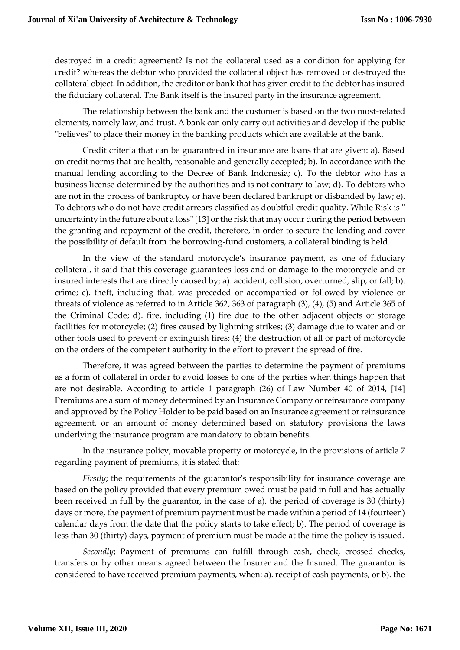destroyed in a credit agreement? Is not the collateral used as a condition for applying for credit? whereas the debtor who provided the collateral object has removed or destroyed the collateral object. In addition, the creditor or bank that has given credit to the debtor has insured the fiduciary collateral. The Bank itself is the insured party in the insurance agreement.

The relationship between the bank and the customer is based on the two most-related elements, namely law, and trust. A bank can only carry out activities and develop if the public "believes" to place their money in the banking products which are available at the bank.

Credit criteria that can be guaranteed in insurance are loans that are given: a). Based on credit norms that are health, reasonable and generally accepted; b). In accordance with the manual lending according to the Decree of Bank Indonesia; c). To the debtor who has a business license determined by the authorities and is not contrary to law; d). To debtors who are not in the process of bankruptcy or have been declared bankrupt or disbanded by law; e). To debtors who do not have credit arrears classified as doubtful credit quality. While Risk is " uncertainty in the future about a loss" [13] or the risk that may occur during the period between the granting and repayment of the credit, therefore, in order to secure the lending and cover the possibility of default from the borrowing-fund customers, a collateral binding is held.

In the view of the standard motorcycle's insurance payment, as one of fiduciary collateral, it said that this coverage guarantees loss and or damage to the motorcycle and or insured interests that are directly caused by; a). accident, collision, overturned, slip, or fall; b). crime; c). theft, including that, was preceded or accompanied or followed by violence or threats of violence as referred to in Article 362, 363 of paragraph (3), (4), (5) and Article 365 of the Criminal Code; d). fire, including (1) fire due to the other adjacent objects or storage facilities for motorcycle; (2) fires caused by lightning strikes; (3) damage due to water and or other tools used to prevent or extinguish fires; (4) the destruction of all or part of motorcycle on the orders of the competent authority in the effort to prevent the spread of fire.

Therefore, it was agreed between the parties to determine the payment of premiums as a form of collateral in order to avoid losses to one of the parties when things happen that are not desirable. According to article 1 paragraph (26) of Law Number 40 of 2014, [14] Premiums are a sum of money determined by an Insurance Company or reinsurance company and approved by the Policy Holder to be paid based on an Insurance agreement or reinsurance agreement, or an amount of money determined based on statutory provisions the laws underlying the insurance program are mandatory to obtain benefits.

In the insurance policy, movable property or motorcycle, in the provisions of article 7 regarding payment of premiums, it is stated that:

*Firstly*; the requirements of the guarantor's responsibility for insurance coverage are based on the policy provided that every premium owed must be paid in full and has actually been received in full by the guarantor, in the case of a). the period of coverage is 30 (thirty) days or more, the payment of premium payment must be made within a period of 14 (fourteen) calendar days from the date that the policy starts to take effect; b). The period of coverage is less than 30 (thirty) days, payment of premium must be made at the time the policy is issued.

*Secondly*; Payment of premiums can fulfill through cash, check, crossed checks, transfers or by other means agreed between the Insurer and the Insured. The guarantor is considered to have received premium payments, when: a). receipt of cash payments, or b). the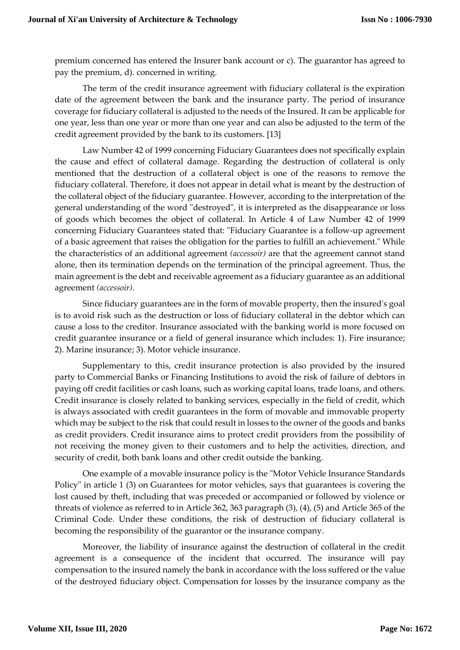premium concerned has entered the Insurer bank account or c). The guarantor has agreed to pay the premium, d). concerned in writing.

The term of the credit insurance agreement with fiduciary collateral is the expiration date of the agreement between the bank and the insurance party. The period of insurance coverage for fiduciary collateral is adjusted to the needs of the Insured. It can be applicable for one year, less than one year or more than one year and can also be adjusted to the term of the credit agreement provided by the bank to its customers. [13]

Law Number 42 of 1999 concerning Fiduciary Guarantees does not specifically explain the cause and effect of collateral damage. Regarding the destruction of collateral is only mentioned that the destruction of a collateral object is one of the reasons to remove the fiduciary collateral. Therefore, it does not appear in detail what is meant by the destruction of the collateral object of the fiduciary guarantee. However, according to the interpretation of the general understanding of the word "destroyed", it is interpreted as the disappearance or loss of goods which becomes the object of collateral. In Article 4 of Law Number 42 of 1999 concerning Fiduciary Guarantees stated that: "Fiduciary Guarantee is a follow-up agreement of a basic agreement that raises the obligation for the parties to fulfill an achievement." While the characteristics of an additional agreement *(accessoir)* are that the agreement cannot stand alone, then its termination depends on the termination of the principal agreement. Thus, the main agreement is the debt and receivable agreement as a fiduciary guarantee as an additional agreement *(accessoir).*

Since fiduciary guarantees are in the form of movable property, then the insured's goal is to avoid risk such as the destruction or loss of fiduciary collateral in the debtor which can cause a loss to the creditor. Insurance associated with the banking world is more focused on credit guarantee insurance or a field of general insurance which includes: 1). Fire insurance; 2). Marine insurance; 3). Motor vehicle insurance.

Supplementary to this, credit insurance protection is also provided by the insured party to Commercial Banks or Financing Institutions to avoid the risk of failure of debtors in paying off credit facilities or cash loans, such as working capital loans, trade loans, and others. Credit insurance is closely related to banking services, especially in the field of credit, which is always associated with credit guarantees in the form of movable and immovable property which may be subject to the risk that could result in losses to the owner of the goods and banks as credit providers. Credit insurance aims to protect credit providers from the possibility of not receiving the money given to their customers and to help the activities, direction, and security of credit, both bank loans and other credit outside the banking.

One example of a movable insurance policy is the "Motor Vehicle Insurance Standards Policy" in article 1 (3) on Guarantees for motor vehicles, says that guarantees is covering the lost caused by theft, including that was preceded or accompanied or followed by violence or threats of violence as referred to in Article 362, 363 paragraph (3), (4), (5) and Article 365 of the Criminal Code. Under these conditions, the risk of destruction of fiduciary collateral is becoming the responsibility of the guarantor or the insurance company.

Moreover, the liability of insurance against the destruction of collateral in the credit agreement is a consequence of the incident that occurred. The insurance will pay compensation to the insured namely the bank in accordance with the loss suffered or the value of the destroyed fiduciary object. Compensation for losses by the insurance company as the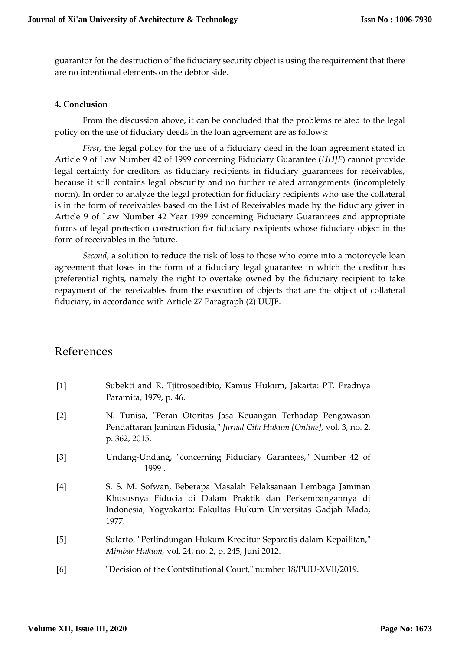guarantor for the destruction of the fiduciary security object is using the requirement that there are no intentional elements on the debtor side.

#### **4. Conclusion**

From the discussion above, it can be concluded that the problems related to the legal policy on the use of fiduciary deeds in the loan agreement are as follows:

*First*, the legal policy for the use of a fiduciary deed in the loan agreement stated in Article 9 of Law Number 42 of 1999 concerning Fiduciary Guarantee (*UUJF*) cannot provide legal certainty for creditors as fiduciary recipients in fiduciary guarantees for receivables, because it still contains legal obscurity and no further related arrangements (incompletely norm). In order to analyze the legal protection for fiduciary recipients who use the collateral is in the form of receivables based on the List of Receivables made by the fiduciary giver in Article 9 of Law Number 42 Year 1999 concerning Fiduciary Guarantees and appropriate forms of legal protection construction for fiduciary recipients whose fiduciary object in the form of receivables in the future.

*Second*, a solution to reduce the risk of loss to those who come into a motorcycle loan agreement that loses in the form of a fiduciary legal guarantee in which the creditor has preferential rights, namely the right to overtake owned by the fiduciary recipient to take repayment of the receivables from the execution of objects that are the object of collateral fiduciary, in accordance with Article 27 Paragraph (2) UUJF.

# References

| $[1]$ | Subekti and R. Tjitrosoedibio, Kamus Hukum, Jakarta: PT. Pradnya<br>Paramita, 1979, p. 46.                                                                                                            |
|-------|-------------------------------------------------------------------------------------------------------------------------------------------------------------------------------------------------------|
| $[2]$ | N. Tunisa, "Peran Otoritas Jasa Keuangan Terhadap Pengawasan<br>Pendaftaran Jaminan Fidusia," Jurnal Cita Hukum [Online], vol. 3, no. 2,<br>p. 362, 2015.                                             |
| [3]   | Undang-Undang, "concerning Fiduciary Garantees," Number 42 of<br>1999.                                                                                                                                |
| [4]   | S. S. M. Sofwan, Beberapa Masalah Pelaksanaan Lembaga Jaminan<br>Khususnya Fiducia di Dalam Praktik dan Perkembangannya di<br>Indonesia, Yogyakarta: Fakultas Hukum Universitas Gadjah Mada,<br>1977. |
| [5]   | Sularto, "Perlindungan Hukum Kreditur Separatis dalam Kepailitan,"<br>Mimbar Hukum, vol. 24, no. 2, p. 245, Juni 2012.                                                                                |
| [6]   | "Decision of the Contstitutional Court," number 18/PUU-XVII/2019.                                                                                                                                     |